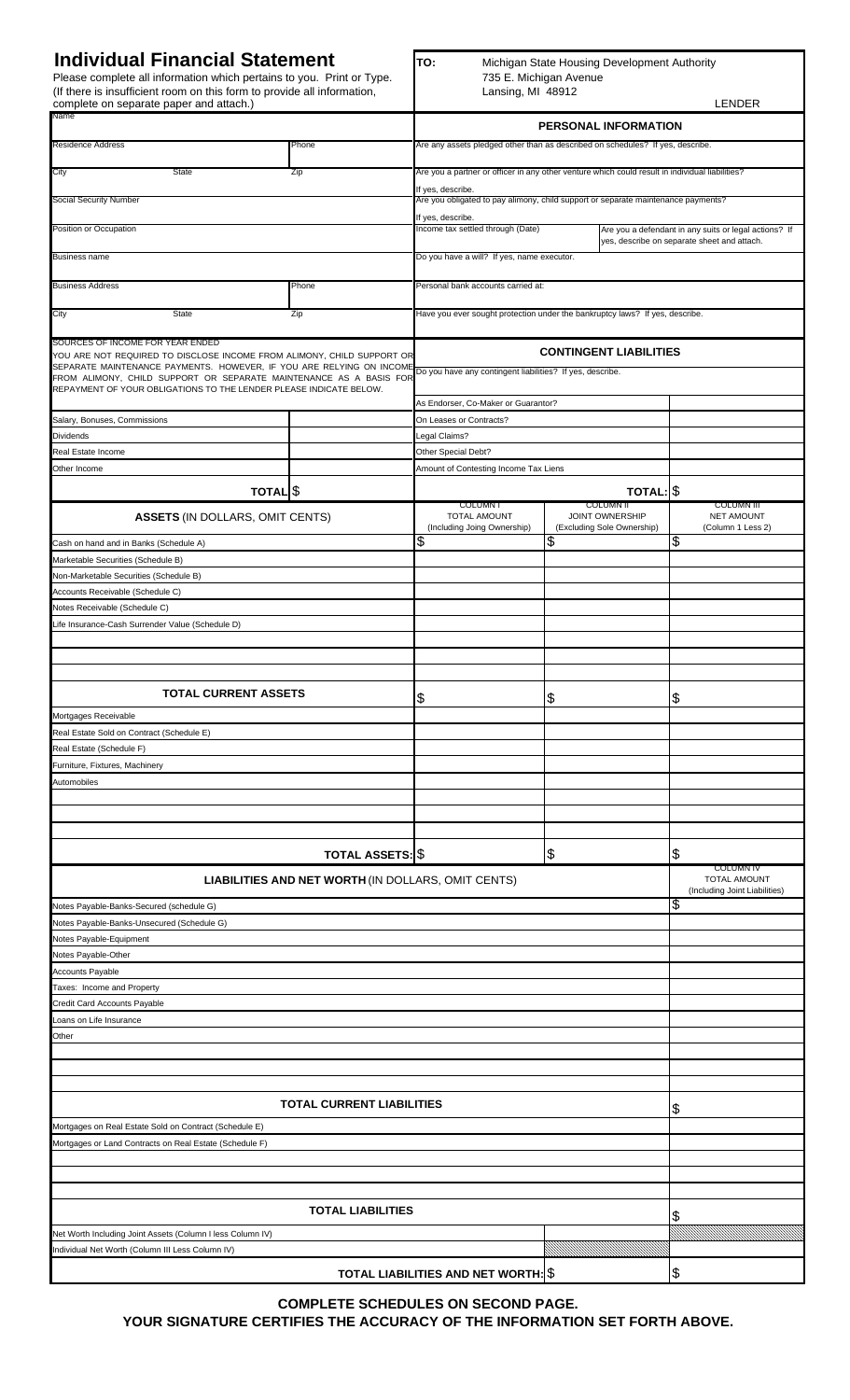Please complete all information which pertains to you. Print or Type. (If there is insufficient room on this form to provide all information,

**Individual Financial Statement**<br>
Please complete all information which pertains to you. Print or Type.<br>
(If there is insufficient room on this form to provide all information, Lansing, MI 48912

| complete on separate paper and attach.)                                                                                                                                                                                                                                                    |                                                                                                 |                                                                                                                 |                                                                   | <b>LENDER</b>                                               |  |  |  |
|--------------------------------------------------------------------------------------------------------------------------------------------------------------------------------------------------------------------------------------------------------------------------------------------|-------------------------------------------------------------------------------------------------|-----------------------------------------------------------------------------------------------------------------|-------------------------------------------------------------------|-------------------------------------------------------------|--|--|--|
| <b>ivame</b>                                                                                                                                                                                                                                                                               |                                                                                                 | PERSONAL INFORMATION                                                                                            |                                                                   |                                                             |  |  |  |
| Residence Address                                                                                                                                                                                                                                                                          | Are any assets pledged other than as described on schedules? If yes, describe.                  |                                                                                                                 |                                                                   |                                                             |  |  |  |
| <b>State</b><br>City                                                                                                                                                                                                                                                                       | Are you a partner or officer in any other venture which could result in individual liabilities? |                                                                                                                 |                                                                   |                                                             |  |  |  |
|                                                                                                                                                                                                                                                                                            | If yes, describe.                                                                               |                                                                                                                 |                                                                   |                                                             |  |  |  |
| <b>Social Security Number</b>                                                                                                                                                                                                                                                              | Are you obligated to pay alimony, child support or separate maintenance payments?               |                                                                                                                 |                                                                   |                                                             |  |  |  |
| Position or Occupation                                                                                                                                                                                                                                                                     |                                                                                                 | If yes, describe.<br>Income tax settled through (Date)<br>Are you a defendant in any suits or legal actions? If |                                                                   |                                                             |  |  |  |
| Business name                                                                                                                                                                                                                                                                              | yes, describe on separate sheet and attach.<br>Do you have a will? If yes, name executor.       |                                                                                                                 |                                                                   |                                                             |  |  |  |
|                                                                                                                                                                                                                                                                                            |                                                                                                 |                                                                                                                 |                                                                   |                                                             |  |  |  |
| <b>Business Address</b>                                                                                                                                                                                                                                                                    | Phone                                                                                           | Personal bank accounts carried at:                                                                              |                                                                   |                                                             |  |  |  |
| State<br>City                                                                                                                                                                                                                                                                              | Zip                                                                                             | Have you ever sought protection under the bankruptcy laws? If yes, describe.                                    |                                                                   |                                                             |  |  |  |
| SOURCES OF INCOME FOR YEAR ENDED                                                                                                                                                                                                                                                           | <b>CONTINGENT LIABILITIES</b>                                                                   |                                                                                                                 |                                                                   |                                                             |  |  |  |
| YOU ARE NOT REQUIRED TO DISCLOSE INCOME FROM ALIMONY, CHILD SUPPORT OR<br>SEPARATE MAINTENANCE PAYMENTS. HOWEVER, IF YOU ARE RELYING ON INCOME<br>FROM ALIMONY, CHILD SUPPORT OR SEPARATE MAINTENANCE AS A BASIS FOR<br>REPAYMENT OF YOUR OBLIGATIONS TO THE LENDER PLEASE INDICATE BELOW. |                                                                                                 | Do you have any contingent liabilities? If yes, describe.                                                       |                                                                   |                                                             |  |  |  |
|                                                                                                                                                                                                                                                                                            | As Endorser, Co-Maker or Guarantor?                                                             |                                                                                                                 |                                                                   |                                                             |  |  |  |
| Salary, Bonuses, Commissions                                                                                                                                                                                                                                                               |                                                                                                 | On Leases or Contracts?                                                                                         |                                                                   |                                                             |  |  |  |
| <b>Dividends</b>                                                                                                                                                                                                                                                                           |                                                                                                 | Legal Claims?                                                                                                   |                                                                   |                                                             |  |  |  |
| Real Estate Income                                                                                                                                                                                                                                                                         |                                                                                                 | Other Special Debt?                                                                                             |                                                                   |                                                             |  |  |  |
| Other Income                                                                                                                                                                                                                                                                               |                                                                                                 | Amount of Contesting Income Tax Liens                                                                           |                                                                   |                                                             |  |  |  |
| TOTAL <sup>S</sup>                                                                                                                                                                                                                                                                         |                                                                                                 |                                                                                                                 | TOTAL: \$                                                         |                                                             |  |  |  |
| <b>ASSETS (IN DOLLARS, OMIT CENTS)</b>                                                                                                                                                                                                                                                     |                                                                                                 | <b>COLUMN1</b><br>TOTAL AMOUNT<br>(Including Joing Ownership)                                                   | <b>COLUMN II</b><br>JOINT OWNERSHIP<br>(Excluding Sole Ownership) | <b>COLUMN III</b><br><b>NET AMOUNT</b><br>(Column 1 Less 2) |  |  |  |
| Cash on hand and in Banks (Schedule A)                                                                                                                                                                                                                                                     |                                                                                                 | \$                                                                                                              | \$                                                                | \$                                                          |  |  |  |
| Marketable Securities (Schedule B)                                                                                                                                                                                                                                                         |                                                                                                 |                                                                                                                 |                                                                   |                                                             |  |  |  |
| Non-Marketable Securities (Schedule B)                                                                                                                                                                                                                                                     |                                                                                                 |                                                                                                                 |                                                                   |                                                             |  |  |  |
| Accounts Receivable (Schedule C)                                                                                                                                                                                                                                                           |                                                                                                 |                                                                                                                 |                                                                   |                                                             |  |  |  |
| Notes Receivable (Schedule C)                                                                                                                                                                                                                                                              |                                                                                                 |                                                                                                                 |                                                                   |                                                             |  |  |  |
| Life Insurance-Cash Surrender Value (Schedule D)                                                                                                                                                                                                                                           |                                                                                                 |                                                                                                                 |                                                                   |                                                             |  |  |  |
|                                                                                                                                                                                                                                                                                            |                                                                                                 |                                                                                                                 |                                                                   |                                                             |  |  |  |
|                                                                                                                                                                                                                                                                                            |                                                                                                 |                                                                                                                 |                                                                   |                                                             |  |  |  |
|                                                                                                                                                                                                                                                                                            |                                                                                                 |                                                                                                                 |                                                                   |                                                             |  |  |  |
| <b>TOTAL CURRENT ASSETS</b>                                                                                                                                                                                                                                                                |                                                                                                 | \$                                                                                                              | \$                                                                | \$                                                          |  |  |  |
| Mortgages Receivable                                                                                                                                                                                                                                                                       |                                                                                                 |                                                                                                                 |                                                                   |                                                             |  |  |  |
| Real Estate Sold on Contract (Schedule E)<br>Real Estate (Schedule F)                                                                                                                                                                                                                      |                                                                                                 |                                                                                                                 |                                                                   |                                                             |  |  |  |
|                                                                                                                                                                                                                                                                                            |                                                                                                 |                                                                                                                 |                                                                   |                                                             |  |  |  |
| Furniture, Fixtures, Machinery<br>Automobiles                                                                                                                                                                                                                                              |                                                                                                 |                                                                                                                 |                                                                   |                                                             |  |  |  |
|                                                                                                                                                                                                                                                                                            |                                                                                                 |                                                                                                                 |                                                                   |                                                             |  |  |  |
|                                                                                                                                                                                                                                                                                            |                                                                                                 |                                                                                                                 |                                                                   |                                                             |  |  |  |
|                                                                                                                                                                                                                                                                                            |                                                                                                 |                                                                                                                 |                                                                   |                                                             |  |  |  |
|                                                                                                                                                                                                                                                                                            | <b>TOTAL ASSETS: \$</b>                                                                         |                                                                                                                 | $\frac{3}{2}$                                                     | \$                                                          |  |  |  |
|                                                                                                                                                                                                                                                                                            | LIABILITIES AND NET WORTH (IN DOLLARS, OMIT CENTS)                                              |                                                                                                                 |                                                                   | <b>COLUMN IV</b><br><b>TOTAL AMOUNT</b>                     |  |  |  |
|                                                                                                                                                                                                                                                                                            |                                                                                                 |                                                                                                                 |                                                                   | (Including Joint Liabilities)<br>\$                         |  |  |  |
| Notes Payable-Banks-Secured (schedule G)<br>Notes Payable-Banks-Unsecured (Schedule G)                                                                                                                                                                                                     |                                                                                                 |                                                                                                                 |                                                                   |                                                             |  |  |  |
| Notes Payable-Equipment                                                                                                                                                                                                                                                                    |                                                                                                 |                                                                                                                 |                                                                   |                                                             |  |  |  |
| Notes Payable-Other                                                                                                                                                                                                                                                                        |                                                                                                 |                                                                                                                 |                                                                   |                                                             |  |  |  |
| <b>Accounts Payable</b>                                                                                                                                                                                                                                                                    |                                                                                                 |                                                                                                                 |                                                                   |                                                             |  |  |  |
| Taxes: Income and Property                                                                                                                                                                                                                                                                 |                                                                                                 |                                                                                                                 |                                                                   |                                                             |  |  |  |
| Credit Card Accounts Payable                                                                                                                                                                                                                                                               |                                                                                                 |                                                                                                                 |                                                                   |                                                             |  |  |  |
| Loans on Life Insurance                                                                                                                                                                                                                                                                    |                                                                                                 |                                                                                                                 |                                                                   |                                                             |  |  |  |
| Other                                                                                                                                                                                                                                                                                      |                                                                                                 |                                                                                                                 |                                                                   |                                                             |  |  |  |
|                                                                                                                                                                                                                                                                                            |                                                                                                 |                                                                                                                 |                                                                   |                                                             |  |  |  |
|                                                                                                                                                                                                                                                                                            |                                                                                                 |                                                                                                                 |                                                                   |                                                             |  |  |  |
|                                                                                                                                                                                                                                                                                            |                                                                                                 |                                                                                                                 |                                                                   |                                                             |  |  |  |
| <b>TOTAL CURRENT LIABILITIES</b>                                                                                                                                                                                                                                                           | \$                                                                                              |                                                                                                                 |                                                                   |                                                             |  |  |  |
| Mortgages on Real Estate Sold on Contract (Schedule E)                                                                                                                                                                                                                                     |                                                                                                 |                                                                                                                 |                                                                   |                                                             |  |  |  |
| Mortgages or Land Contracts on Real Estate (Schedule F)                                                                                                                                                                                                                                    |                                                                                                 |                                                                                                                 |                                                                   |                                                             |  |  |  |
|                                                                                                                                                                                                                                                                                            |                                                                                                 |                                                                                                                 |                                                                   |                                                             |  |  |  |
|                                                                                                                                                                                                                                                                                            |                                                                                                 |                                                                                                                 |                                                                   |                                                             |  |  |  |
|                                                                                                                                                                                                                                                                                            |                                                                                                 |                                                                                                                 |                                                                   |                                                             |  |  |  |
|                                                                                                                                                                                                                                                                                            | \$                                                                                              |                                                                                                                 |                                                                   |                                                             |  |  |  |
| Net Worth Including Joint Assets (Column I less Column IV)                                                                                                                                                                                                                                 |                                                                                                 |                                                                                                                 |                                                                   |                                                             |  |  |  |
| Individual Net Worth (Column III Less Column IV)                                                                                                                                                                                                                                           |                                                                                                 |                                                                                                                 |                                                                   |                                                             |  |  |  |
|                                                                                                                                                                                                                                                                                            | \$                                                                                              |                                                                                                                 |                                                                   |                                                             |  |  |  |
|                                                                                                                                                                                                                                                                                            |                                                                                                 | TOTAL LIABILITIES AND NET WORTH: \$                                                                             |                                                                   |                                                             |  |  |  |

**COMPLETE SCHEDULES ON SECOND PAGE. YOUR SIGNATURE CERTIFIES THE ACCURACY OF THE INFORMATION SET FORTH ABOVE.**